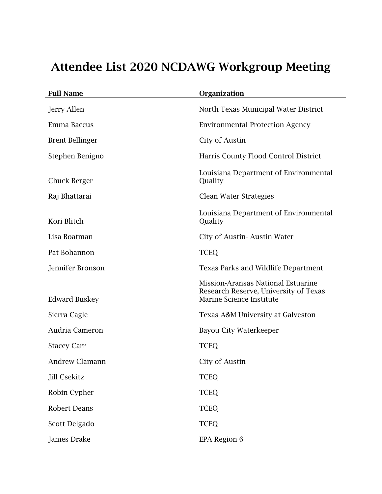## Attendee List 2020 NCDAWG Workgroup Meeting

| <b>Full Name</b>       | <b>Organization</b>                                                                                            |
|------------------------|----------------------------------------------------------------------------------------------------------------|
| Jerry Allen            | North Texas Municipal Water District                                                                           |
| Emma Baccus            | <b>Environmental Protection Agency</b>                                                                         |
| <b>Brent Bellinger</b> | City of Austin                                                                                                 |
| Stephen Benigno        | Harris County Flood Control District                                                                           |
| <b>Chuck Berger</b>    | Louisiana Department of Environmental<br>Quality                                                               |
| Raj Bhattarai          | Clean Water Strategies                                                                                         |
| Kori Blitch            | Louisiana Department of Environmental<br>Quality                                                               |
| Lisa Boatman           | City of Austin-Austin Water                                                                                    |
| Pat Bohannon           | <b>TCEQ</b>                                                                                                    |
| Jennifer Bronson       | <b>Texas Parks and Wildlife Department</b>                                                                     |
| <b>Edward Buskey</b>   | <b>Mission-Aransas National Estuarine</b><br>Research Reserve, University of Texas<br>Marine Science Institute |
| Sierra Cagle           | Texas A&M University at Galveston                                                                              |
| Audria Cameron         | Bayou City Waterkeeper                                                                                         |
| <b>Stacey Carr</b>     | <b>TCEQ</b>                                                                                                    |
| <b>Andrew Clamann</b>  | City of Austin                                                                                                 |
| Jill Csekitz           | <b>TCEQ</b>                                                                                                    |
| Robin Cypher           | <b>TCEQ</b>                                                                                                    |
| <b>Robert Deans</b>    | <b>TCEQ</b>                                                                                                    |
| Scott Delgado          | <b>TCEQ</b>                                                                                                    |
| James Drake            | EPA Region 6                                                                                                   |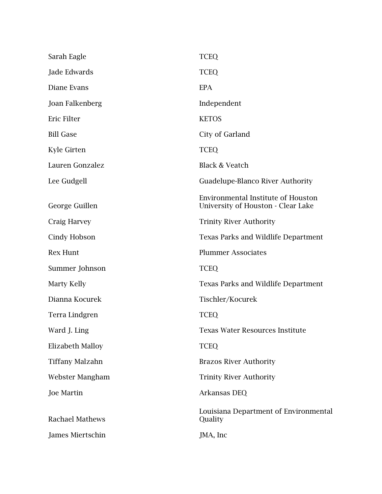| <b>TCEQ</b>                                                                     |
|---------------------------------------------------------------------------------|
| <b>TCEQ</b>                                                                     |
| <b>EPA</b>                                                                      |
| Independent                                                                     |
| <b>KETOS</b>                                                                    |
| City of Garland                                                                 |
| <b>TCEQ</b>                                                                     |
| <b>Black &amp; Veatch</b>                                                       |
| Guadelupe-Blanco River Authority                                                |
| <b>Environmental Institute of Houston</b><br>University of Houston - Clear Lake |
| <b>Trinity River Authority</b>                                                  |
| Texas Parks and Wildlife Department                                             |
| <b>Plummer Associates</b>                                                       |
| <b>TCEQ</b>                                                                     |
| Texas Parks and Wildlife Department                                             |
| Tischler/Kocurek                                                                |
| <b>TCEQ</b>                                                                     |
| Texas Water Resources Institute                                                 |
| <b>TCEQ</b>                                                                     |
| <b>Brazos River Authority</b>                                                   |
| <b>Trinity River Authority</b>                                                  |
| Arkansas DEQ                                                                    |
| Louisiana Department of Environmental<br>Quality                                |
| JMA, Inc                                                                        |
|                                                                                 |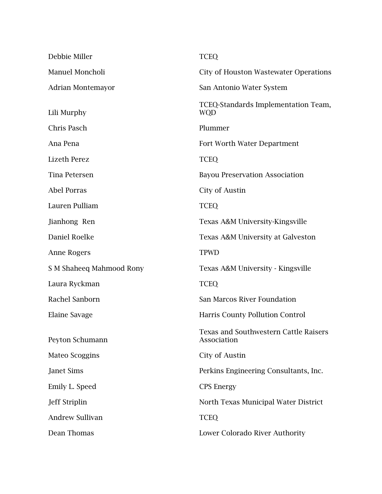| Debbie Miller            | <b>TCEQ</b>                                                 |
|--------------------------|-------------------------------------------------------------|
| Manuel Moncholi          | City of Houston Wastewater Operations                       |
| Adrian Montemayor        | San Antonio Water System                                    |
| Lili Murphy              | TCEQ-Standards Implementation Team,<br><b>WQD</b>           |
| Chris Pasch              | Plummer                                                     |
| Ana Pena                 | Fort Worth Water Department                                 |
| <b>Lizeth Perez</b>      | <b>TCEQ</b>                                                 |
| Tina Petersen            | <b>Bayou Preservation Association</b>                       |
| <b>Abel Porras</b>       | City of Austin                                              |
| Lauren Pulliam           | <b>TCEQ</b>                                                 |
| Jianhong Ren             | Texas A&M University-Kingsville                             |
| Daniel Roelke            | Texas A&M University at Galveston                           |
| Anne Rogers              | <b>TPWD</b>                                                 |
| S M Shaheeq Mahmood Rony | Texas A&M University - Kingsville                           |
| Laura Ryckman            | <b>TCEQ</b>                                                 |
| Rachel Sanborn           | San Marcos River Foundation                                 |
| Elaine Savage            | Harris County Pollution Control                             |
| Peyton Schumann          | <b>Texas and Southwestern Cattle Raisers</b><br>Association |
| <b>Mateo Scoggins</b>    | <b>City of Austin</b>                                       |
| Janet Sims               | Perkins Engineering Consultants, Inc.                       |
| Emily L. Speed           | <b>CPS Energy</b>                                           |
| <b>Jeff Striplin</b>     | North Texas Municipal Water District                        |
| <b>Andrew Sullivan</b>   | <b>TCEQ</b>                                                 |
| Dean Thomas              | Lower Colorado River Authority                              |